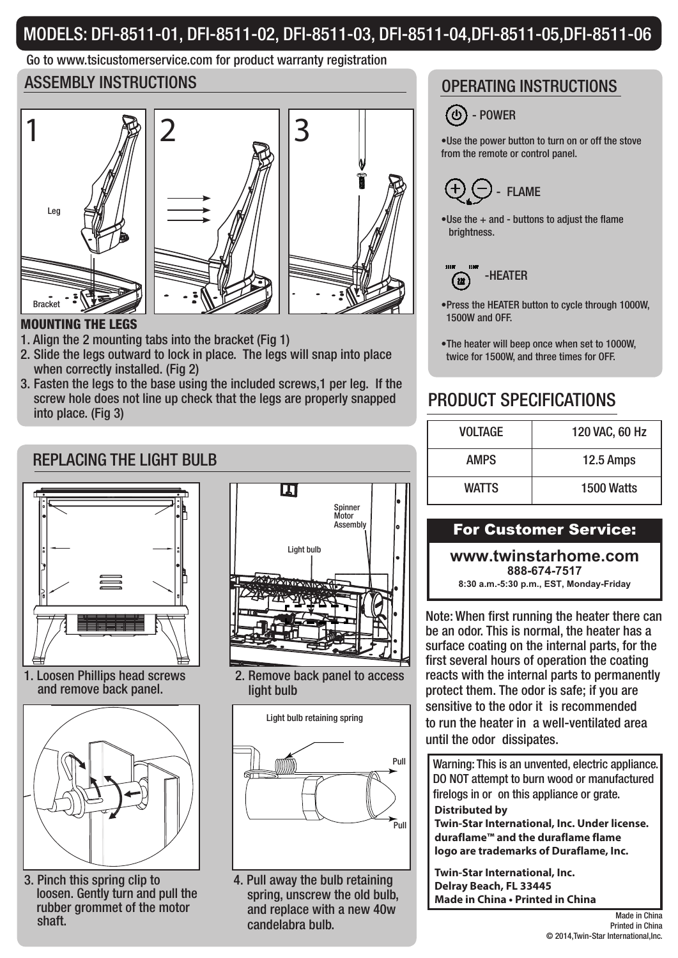# MODELS: DFI-8511-01, DFI-8511-02, DFI-8511-03, DFI-8511-04,DFI-8511-05,DFI-8511-06

# Go to www.tsicustomerservice.com for product warranty registration

# ASSEMBLY INSTRUCTIONS ASSEMBLY INSTRUCTIONS





## MOUNTING THE LEGS

- 1. Align the 2 mounting tabs into the bracket (Fig 1)
- 2. Slide the legs outward to lock in place. The legs will snap into place when correctly installed. (Fig 2)
- 3. Fasten the legs to the base using the included screws,1 per leg. If the screw hole does not line up check that the legs are properly snapped into place. (Fig 3)

# REPLACING THE LIGHT BULB



1. Loosen Phillips head screws and remove back panel.



3. Pinch this spring clip to loosen. Gently turn and pull the rubber grommet of the motor shaft.



2. Remove back panel to access light bulb



4. Pull away the bulb retaining spring, unscrew the old bulb, and replace with a new 40w candelabra bulb.



•Use the power button to turn on or off the stove from the remote or control panel.



 $\bullet$ Use the  $+$  and - buttons to adjust the flame brightness.



- •Press the HEATER button to cycle through 1000W, 1500W and OFF.
- •The heater will beep once when set to 1000W, twice for 1500W, and three times for OFF.

# PRODUCT SPECIFICATIONS

| <b>VOLTAGE</b> | 120 VAC, 60 Hz |
|----------------|----------------|
| <b>AMPS</b>    | 12.5 Amps      |
| <b>WATTS</b>   | 1500 Watts     |

## For Customer Service:

**www.twinstarhome.com 888-674-7517**

**8:30 a.m.-5:30 p.m., EST, Monday-Friday**

Note: When first running the heater there can be an odor. This is normal, the heater has a surface coating on the internal parts, for the first several hours of operation the coating reacts with the internal parts to permanently protect them. The odor is safe; if you are sensitive to the odor it is recommended to run the heater in a well-ventilated area until the odor dissipates.

**Distributed by** Warning: This is an unvented, electric appliance. DO NOT attempt to burn wood or manufactured firelogs in or on this appliance or grate.

**Twin-Star International, Inc. Under license. duraflame™ and the duraflame flame logo are trademarks of Duraflame, Inc.**

**Twin-Star International, Inc. Delray Beach, FL 33445 Made in China • Printed in China**